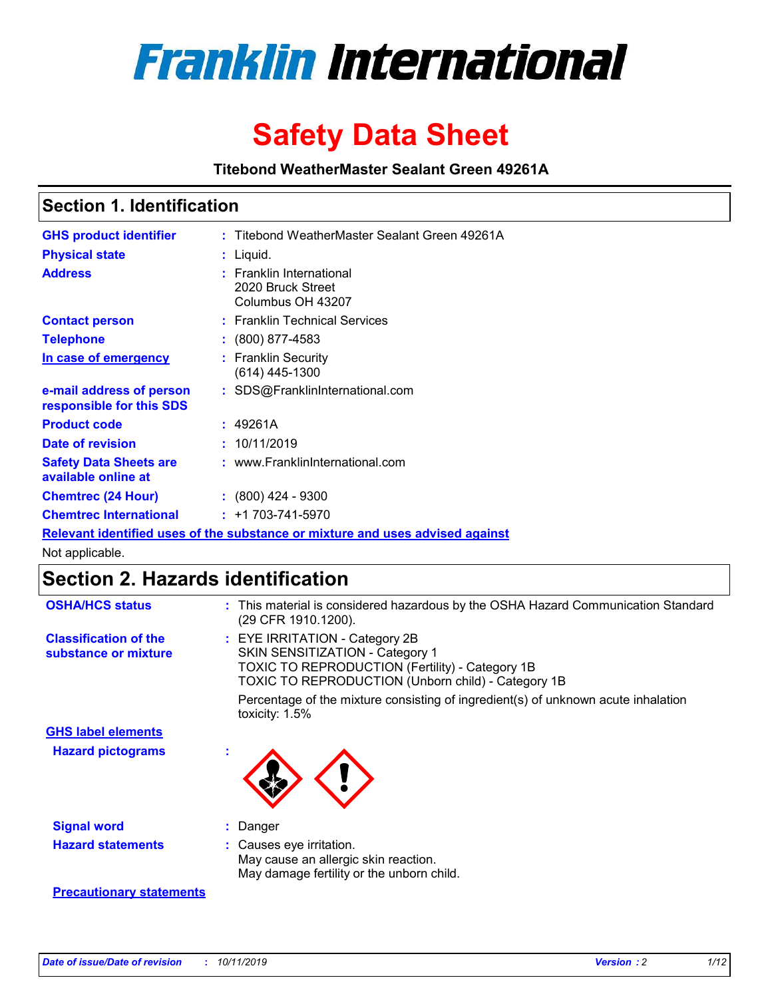

# **Safety Data Sheet**

**Titebond WeatherMaster Sealant Green 49261A**

### **Section 1. Identification**

| <b>GHS product identifier</b>                        | : Titebond WeatherMaster Sealant Green 49261A                                 |  |
|------------------------------------------------------|-------------------------------------------------------------------------------|--|
| <b>Physical state</b>                                | : Liquid.                                                                     |  |
| <b>Address</b>                                       | <b>Franklin International</b><br>2020 Bruck Street<br>Columbus OH 43207       |  |
| <b>Contact person</b>                                | : Franklin Technical Services                                                 |  |
| <b>Telephone</b>                                     | $\colon$ (800) 877-4583                                                       |  |
| In case of emergency                                 | : Franklin Security<br>(614) 445-1300                                         |  |
| e-mail address of person<br>responsible for this SDS | : SDS@FranklinInternational.com                                               |  |
| <b>Product code</b>                                  | : 49261A                                                                      |  |
| Date of revision                                     | : 10/11/2019                                                                  |  |
| <b>Safety Data Sheets are</b><br>available online at | : www.FranklinInternational.com                                               |  |
| <b>Chemtrec (24 Hour)</b>                            | $\cdot$ (800) 424 - 9300                                                      |  |
| <b>Chemtrec International</b>                        | $: +1703 - 741 - 5970$                                                        |  |
|                                                      | Relevant identified uses of the substance or mixture and uses advised against |  |

Not applicable.

## **Section 2. Hazards identification**

| <b>OSHA/HCS status</b>                               | : This material is considered hazardous by the OSHA Hazard Communication Standard<br>(29 CFR 1910.1200).                                                                                 |
|------------------------------------------------------|------------------------------------------------------------------------------------------------------------------------------------------------------------------------------------------|
| <b>Classification of the</b><br>substance or mixture | : EYE IRRITATION - Category 2B<br>SKIN SENSITIZATION - Category 1<br><b>TOXIC TO REPRODUCTION (Fertility) - Category 1B</b><br><b>TOXIC TO REPRODUCTION (Unborn child) - Category 1B</b> |
|                                                      | Percentage of the mixture consisting of ingredient(s) of unknown acute inhalation<br>toxicity: $1.5\%$                                                                                   |
| <b>GHS label elements</b>                            |                                                                                                                                                                                          |
| <b>Hazard pictograms</b>                             |                                                                                                                                                                                          |
| <b>Signal word</b>                                   | : Danger                                                                                                                                                                                 |
| <b>Hazard statements</b>                             | : Causes eye irritation.<br>May cause an allergic skin reaction.<br>May damage fertility or the unborn child.                                                                            |
| <b>Precautionary statements</b>                      |                                                                                                                                                                                          |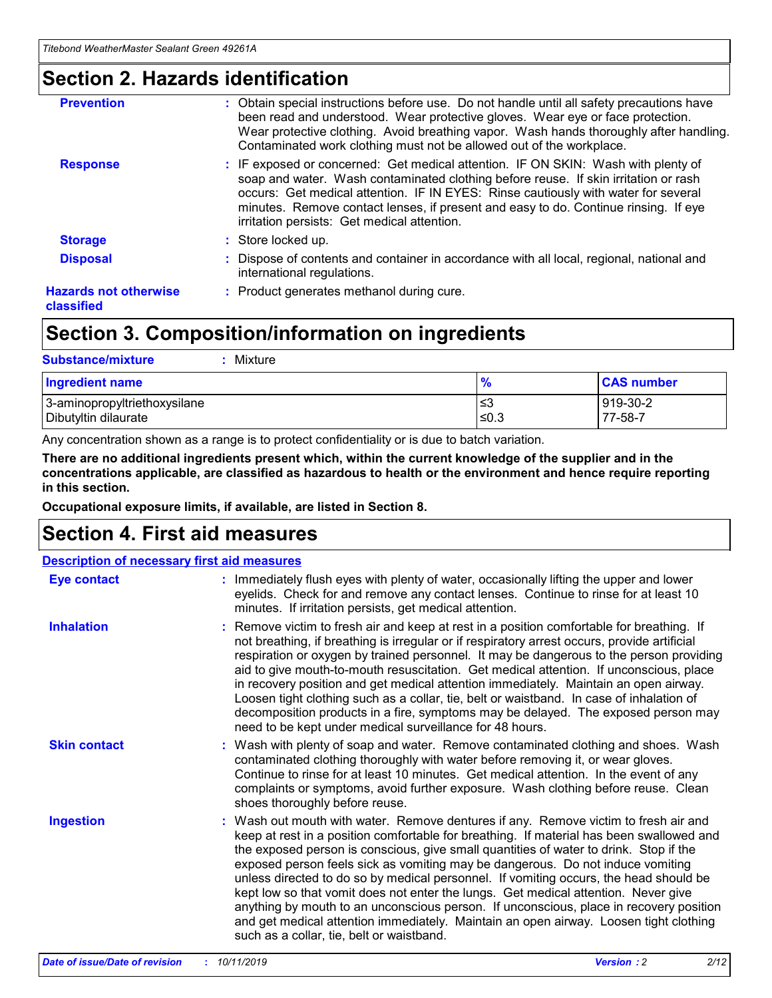### **Section 2. Hazards identification**

| <b>Prevention</b>                          | : Obtain special instructions before use. Do not handle until all safety precautions have<br>been read and understood. Wear protective gloves. Wear eye or face protection.<br>Wear protective clothing. Avoid breathing vapor. Wash hands thoroughly after handling.<br>Contaminated work clothing must not be allowed out of the workplace.                                                        |
|--------------------------------------------|------------------------------------------------------------------------------------------------------------------------------------------------------------------------------------------------------------------------------------------------------------------------------------------------------------------------------------------------------------------------------------------------------|
| <b>Response</b>                            | : IF exposed or concerned: Get medical attention. IF ON SKIN: Wash with plenty of<br>soap and water. Wash contaminated clothing before reuse. If skin irritation or rash<br>occurs: Get medical attention. IF IN EYES: Rinse cautiously with water for several<br>minutes. Remove contact lenses, if present and easy to do. Continue rinsing. If eye<br>irritation persists: Get medical attention. |
| <b>Storage</b>                             | : Store locked up.                                                                                                                                                                                                                                                                                                                                                                                   |
| <b>Disposal</b>                            | : Dispose of contents and container in accordance with all local, regional, national and<br>international regulations.                                                                                                                                                                                                                                                                               |
| <b>Hazards not otherwise</b><br>classified | : Product generates methanol during cure.                                                                                                                                                                                                                                                                                                                                                            |
|                                            |                                                                                                                                                                                                                                                                                                                                                                                                      |

### **Section 3. Composition/information on ingredients**

| <b>Substance/mixture</b><br>Mixture                  |               |                     |
|------------------------------------------------------|---------------|---------------------|
| <b>Ingredient name</b>                               | $\frac{9}{6}$ | <b>CAS number</b>   |
| 3-aminopropyltriethoxysilane<br>Dibutyltin dilaurate | ≤3<br>$≤0.3$  | 919-30-2<br>77-58-7 |

Any concentration shown as a range is to protect confidentiality or is due to batch variation.

**There are no additional ingredients present which, within the current knowledge of the supplier and in the concentrations applicable, are classified as hazardous to health or the environment and hence require reporting in this section.**

**Occupational exposure limits, if available, are listed in Section 8.**

### **Section 4. First aid measures**

| <b>Description of necessary first aid measures</b> |                                                                                                                                                                                                                                                                                                                                                                                                                                                                                                                                                                                                                                                                                                                                                                           |  |  |  |
|----------------------------------------------------|---------------------------------------------------------------------------------------------------------------------------------------------------------------------------------------------------------------------------------------------------------------------------------------------------------------------------------------------------------------------------------------------------------------------------------------------------------------------------------------------------------------------------------------------------------------------------------------------------------------------------------------------------------------------------------------------------------------------------------------------------------------------------|--|--|--|
| <b>Eye contact</b>                                 | : Immediately flush eyes with plenty of water, occasionally lifting the upper and lower<br>eyelids. Check for and remove any contact lenses. Continue to rinse for at least 10<br>minutes. If irritation persists, get medical attention.                                                                                                                                                                                                                                                                                                                                                                                                                                                                                                                                 |  |  |  |
| <b>Inhalation</b>                                  | : Remove victim to fresh air and keep at rest in a position comfortable for breathing. If<br>not breathing, if breathing is irregular or if respiratory arrest occurs, provide artificial<br>respiration or oxygen by trained personnel. It may be dangerous to the person providing<br>aid to give mouth-to-mouth resuscitation. Get medical attention. If unconscious, place<br>in recovery position and get medical attention immediately. Maintain an open airway.<br>Loosen tight clothing such as a collar, tie, belt or waistband. In case of inhalation of<br>decomposition products in a fire, symptoms may be delayed. The exposed person may<br>need to be kept under medical surveillance for 48 hours.                                                       |  |  |  |
| <b>Skin contact</b>                                | : Wash with plenty of soap and water. Remove contaminated clothing and shoes. Wash<br>contaminated clothing thoroughly with water before removing it, or wear gloves.<br>Continue to rinse for at least 10 minutes. Get medical attention. In the event of any<br>complaints or symptoms, avoid further exposure. Wash clothing before reuse. Clean<br>shoes thoroughly before reuse.                                                                                                                                                                                                                                                                                                                                                                                     |  |  |  |
| <b>Ingestion</b>                                   | : Wash out mouth with water. Remove dentures if any. Remove victim to fresh air and<br>keep at rest in a position comfortable for breathing. If material has been swallowed and<br>the exposed person is conscious, give small quantities of water to drink. Stop if the<br>exposed person feels sick as vomiting may be dangerous. Do not induce vomiting<br>unless directed to do so by medical personnel. If vomiting occurs, the head should be<br>kept low so that vomit does not enter the lungs. Get medical attention. Never give<br>anything by mouth to an unconscious person. If unconscious, place in recovery position<br>and get medical attention immediately. Maintain an open airway. Loosen tight clothing<br>such as a collar, tie, belt or waistband. |  |  |  |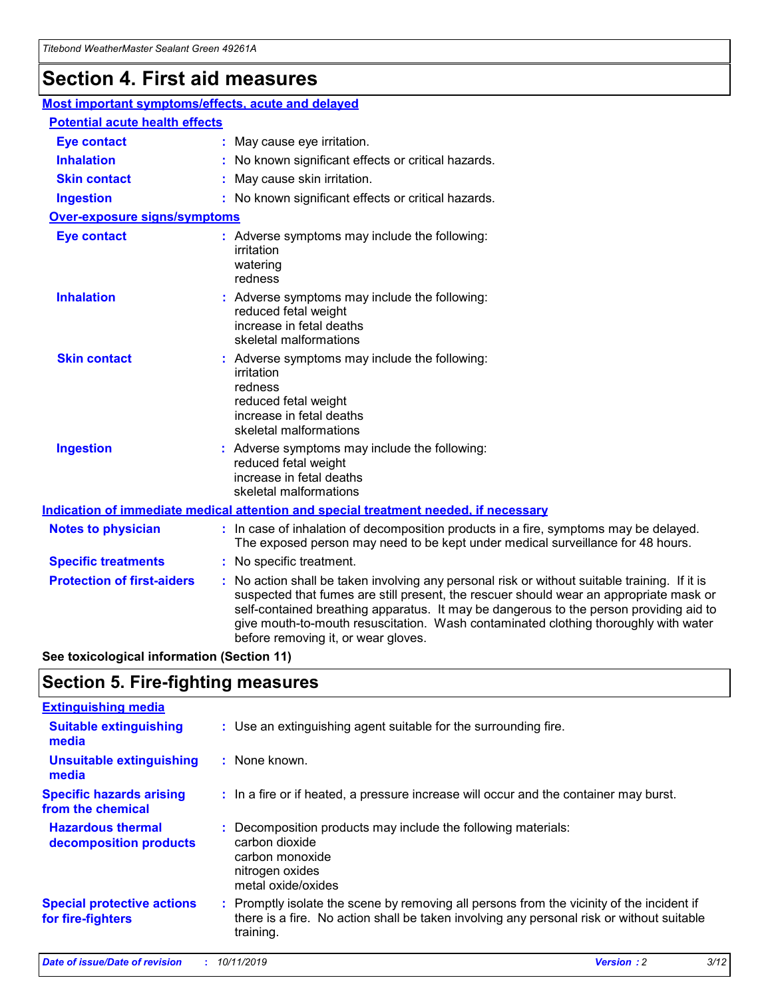## **Section 4. First aid measures**

| Most important symptoms/effects, acute and delayed |  |                                                                                                                                                                                                                                                                                                                                                                                                                 |
|----------------------------------------------------|--|-----------------------------------------------------------------------------------------------------------------------------------------------------------------------------------------------------------------------------------------------------------------------------------------------------------------------------------------------------------------------------------------------------------------|
| <b>Potential acute health effects</b>              |  |                                                                                                                                                                                                                                                                                                                                                                                                                 |
| <b>Eye contact</b>                                 |  | : May cause eye irritation.                                                                                                                                                                                                                                                                                                                                                                                     |
| <b>Inhalation</b>                                  |  | : No known significant effects or critical hazards.                                                                                                                                                                                                                                                                                                                                                             |
| <b>Skin contact</b>                                |  | : May cause skin irritation.                                                                                                                                                                                                                                                                                                                                                                                    |
| <b>Ingestion</b>                                   |  | : No known significant effects or critical hazards.                                                                                                                                                                                                                                                                                                                                                             |
| <b>Over-exposure signs/symptoms</b>                |  |                                                                                                                                                                                                                                                                                                                                                                                                                 |
| <b>Eye contact</b>                                 |  | : Adverse symptoms may include the following:<br>irritation<br>watering<br>redness                                                                                                                                                                                                                                                                                                                              |
| <b>Inhalation</b>                                  |  | : Adverse symptoms may include the following:<br>reduced fetal weight<br>increase in fetal deaths<br>skeletal malformations                                                                                                                                                                                                                                                                                     |
| <b>Skin contact</b>                                |  | : Adverse symptoms may include the following:<br>irritation<br>redness<br>reduced fetal weight<br>increase in fetal deaths<br>skeletal malformations                                                                                                                                                                                                                                                            |
| <b>Ingestion</b>                                   |  | : Adverse symptoms may include the following:<br>reduced fetal weight<br>increase in fetal deaths<br>skeletal malformations                                                                                                                                                                                                                                                                                     |
|                                                    |  | <b>Indication of immediate medical attention and special treatment needed, if necessary</b>                                                                                                                                                                                                                                                                                                                     |
| <b>Notes to physician</b>                          |  | : In case of inhalation of decomposition products in a fire, symptoms may be delayed.<br>The exposed person may need to be kept under medical surveillance for 48 hours.                                                                                                                                                                                                                                        |
| <b>Specific treatments</b>                         |  | : No specific treatment.                                                                                                                                                                                                                                                                                                                                                                                        |
| <b>Protection of first-aiders</b>                  |  | : No action shall be taken involving any personal risk or without suitable training. If it is<br>suspected that fumes are still present, the rescuer should wear an appropriate mask or<br>self-contained breathing apparatus. It may be dangerous to the person providing aid to<br>give mouth-to-mouth resuscitation. Wash contaminated clothing thoroughly with water<br>before removing it, or wear gloves. |

**See toxicological information (Section 11)**

### **Section 5. Fire-fighting measures**

| <b>Extinguishing media</b>                             |                                                                                                                                                                                                     |
|--------------------------------------------------------|-----------------------------------------------------------------------------------------------------------------------------------------------------------------------------------------------------|
| <b>Suitable extinguishing</b><br>media                 | : Use an extinguishing agent suitable for the surrounding fire.                                                                                                                                     |
| <b>Unsuitable extinguishing</b><br>media               | : None known.                                                                                                                                                                                       |
| <b>Specific hazards arising</b><br>from the chemical   | : In a fire or if heated, a pressure increase will occur and the container may burst.                                                                                                               |
| <b>Hazardous thermal</b><br>decomposition products     | : Decomposition products may include the following materials:<br>carbon dioxide<br>carbon monoxide<br>nitrogen oxides<br>metal oxide/oxides                                                         |
| <b>Special protective actions</b><br>for fire-fighters | : Promptly isolate the scene by removing all persons from the vicinity of the incident if<br>there is a fire. No action shall be taken involving any personal risk or without suitable<br>training. |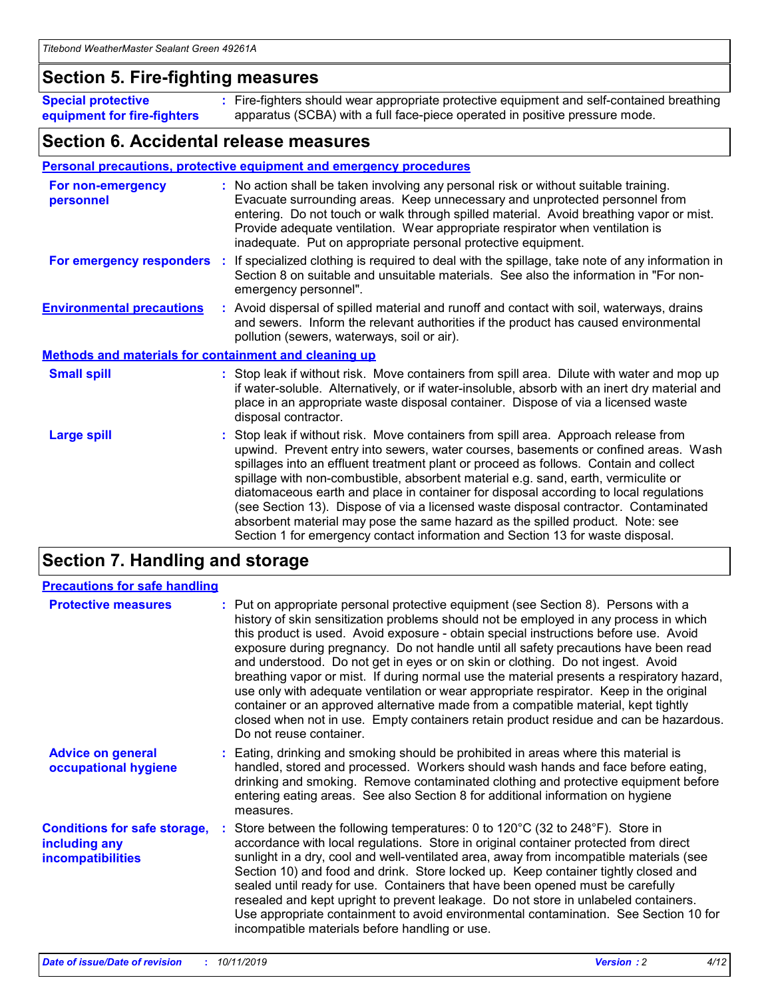### **Section 5. Fire-fighting measures**

**Special protective equipment for fire-fighters** Fire-fighters should wear appropriate protective equipment and self-contained breathing **:** apparatus (SCBA) with a full face-piece operated in positive pressure mode.

### **Section 6. Accidental release measures**

#### **Personal precautions, protective equipment and emergency procedures**

| For non-emergency<br>personnel                               | : No action shall be taken involving any personal risk or without suitable training.<br>Evacuate surrounding areas. Keep unnecessary and unprotected personnel from<br>entering. Do not touch or walk through spilled material. Avoid breathing vapor or mist.<br>Provide adequate ventilation. Wear appropriate respirator when ventilation is<br>inadequate. Put on appropriate personal protective equipment.                                                                                                                                                                                                                                                                                             |
|--------------------------------------------------------------|--------------------------------------------------------------------------------------------------------------------------------------------------------------------------------------------------------------------------------------------------------------------------------------------------------------------------------------------------------------------------------------------------------------------------------------------------------------------------------------------------------------------------------------------------------------------------------------------------------------------------------------------------------------------------------------------------------------|
|                                                              | For emergency responders : If specialized clothing is required to deal with the spillage, take note of any information in<br>Section 8 on suitable and unsuitable materials. See also the information in "For non-<br>emergency personnel".                                                                                                                                                                                                                                                                                                                                                                                                                                                                  |
| <b>Environmental precautions</b>                             | : Avoid dispersal of spilled material and runoff and contact with soil, waterways, drains<br>and sewers. Inform the relevant authorities if the product has caused environmental<br>pollution (sewers, waterways, soil or air).                                                                                                                                                                                                                                                                                                                                                                                                                                                                              |
| <b>Methods and materials for containment and cleaning up</b> |                                                                                                                                                                                                                                                                                                                                                                                                                                                                                                                                                                                                                                                                                                              |
| <b>Small spill</b>                                           | : Stop leak if without risk. Move containers from spill area. Dilute with water and mop up<br>if water-soluble. Alternatively, or if water-insoluble, absorb with an inert dry material and<br>place in an appropriate waste disposal container. Dispose of via a licensed waste<br>disposal contractor.                                                                                                                                                                                                                                                                                                                                                                                                     |
| <b>Large spill</b>                                           | : Stop leak if without risk. Move containers from spill area. Approach release from<br>upwind. Prevent entry into sewers, water courses, basements or confined areas. Wash<br>spillages into an effluent treatment plant or proceed as follows. Contain and collect<br>spillage with non-combustible, absorbent material e.g. sand, earth, vermiculite or<br>diatomaceous earth and place in container for disposal according to local regulations<br>(see Section 13). Dispose of via a licensed waste disposal contractor. Contaminated<br>absorbent material may pose the same hazard as the spilled product. Note: see<br>Section 1 for emergency contact information and Section 13 for waste disposal. |

### **Section 7. Handling and storage**

| <b>Precautions for safe handling</b>                                             |                                                                                                                                                                                                                                                                                                                                                                                                                                                                                                                                                                                                                                                                                                                                                                                                                                                  |
|----------------------------------------------------------------------------------|--------------------------------------------------------------------------------------------------------------------------------------------------------------------------------------------------------------------------------------------------------------------------------------------------------------------------------------------------------------------------------------------------------------------------------------------------------------------------------------------------------------------------------------------------------------------------------------------------------------------------------------------------------------------------------------------------------------------------------------------------------------------------------------------------------------------------------------------------|
| <b>Protective measures</b>                                                       | : Put on appropriate personal protective equipment (see Section 8). Persons with a<br>history of skin sensitization problems should not be employed in any process in which<br>this product is used. Avoid exposure - obtain special instructions before use. Avoid<br>exposure during pregnancy. Do not handle until all safety precautions have been read<br>and understood. Do not get in eyes or on skin or clothing. Do not ingest. Avoid<br>breathing vapor or mist. If during normal use the material presents a respiratory hazard,<br>use only with adequate ventilation or wear appropriate respirator. Keep in the original<br>container or an approved alternative made from a compatible material, kept tightly<br>closed when not in use. Empty containers retain product residue and can be hazardous.<br>Do not reuse container. |
| <b>Advice on general</b><br>occupational hygiene                                 | : Eating, drinking and smoking should be prohibited in areas where this material is<br>handled, stored and processed. Workers should wash hands and face before eating,<br>drinking and smoking. Remove contaminated clothing and protective equipment before<br>entering eating areas. See also Section 8 for additional information on hygiene<br>measures.                                                                                                                                                                                                                                                                                                                                                                                                                                                                                    |
| <b>Conditions for safe storage,</b><br>including any<br><b>incompatibilities</b> | : Store between the following temperatures: 0 to 120 $\degree$ C (32 to 248 $\degree$ F). Store in<br>accordance with local regulations. Store in original container protected from direct<br>sunlight in a dry, cool and well-ventilated area, away from incompatible materials (see<br>Section 10) and food and drink. Store locked up. Keep container tightly closed and<br>sealed until ready for use. Containers that have been opened must be carefully<br>resealed and kept upright to prevent leakage. Do not store in unlabeled containers.<br>Use appropriate containment to avoid environmental contamination. See Section 10 for<br>incompatible materials before handling or use.                                                                                                                                                   |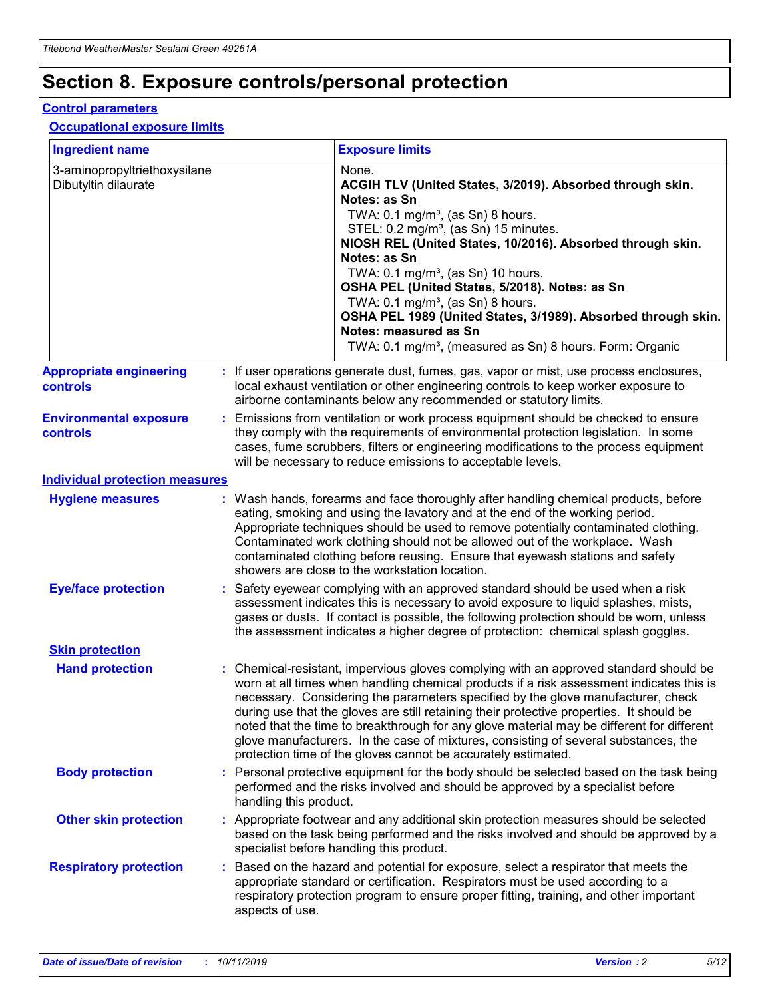## **Section 8. Exposure controls/personal protection**

#### **Control parameters**

#### **Occupational exposure limits**

| <b>Ingredient name</b>                               |    |                        | <b>Exposure limits</b>                                                                                                                                                                                                                                                                                                                                                                                                                                                                                                                                                                                                 |
|------------------------------------------------------|----|------------------------|------------------------------------------------------------------------------------------------------------------------------------------------------------------------------------------------------------------------------------------------------------------------------------------------------------------------------------------------------------------------------------------------------------------------------------------------------------------------------------------------------------------------------------------------------------------------------------------------------------------------|
| 3-aminopropyltriethoxysilane<br>Dibutyltin dilaurate |    |                        | None.<br>ACGIH TLV (United States, 3/2019). Absorbed through skin.<br>Notes: as Sn<br>TWA: $0.1 \text{ mg/m}^3$ , (as Sn) 8 hours.<br>STEL: 0.2 mg/m <sup>3</sup> , (as Sn) 15 minutes.<br>NIOSH REL (United States, 10/2016). Absorbed through skin.<br>Notes: as Sn<br>TWA: 0.1 mg/m <sup>3</sup> , (as Sn) 10 hours.<br>OSHA PEL (United States, 5/2018). Notes: as Sn<br>TWA: 0.1 mg/m <sup>3</sup> , (as Sn) 8 hours.<br>OSHA PEL 1989 (United States, 3/1989). Absorbed through skin.<br>Notes: measured as Sn<br>TWA: 0.1 mg/m <sup>3</sup> , (measured as Sn) 8 hours. Form: Organic                           |
| <b>Appropriate engineering</b><br>controls           |    |                        | : If user operations generate dust, fumes, gas, vapor or mist, use process enclosures,<br>local exhaust ventilation or other engineering controls to keep worker exposure to<br>airborne contaminants below any recommended or statutory limits.                                                                                                                                                                                                                                                                                                                                                                       |
| <b>Environmental exposure</b><br>controls            |    |                        | Emissions from ventilation or work process equipment should be checked to ensure<br>they comply with the requirements of environmental protection legislation. In some<br>cases, fume scrubbers, filters or engineering modifications to the process equipment<br>will be necessary to reduce emissions to acceptable levels.                                                                                                                                                                                                                                                                                          |
| <b>Individual protection measures</b>                |    |                        |                                                                                                                                                                                                                                                                                                                                                                                                                                                                                                                                                                                                                        |
| <b>Hygiene measures</b>                              |    |                        | : Wash hands, forearms and face thoroughly after handling chemical products, before<br>eating, smoking and using the lavatory and at the end of the working period.<br>Appropriate techniques should be used to remove potentially contaminated clothing.<br>Contaminated work clothing should not be allowed out of the workplace. Wash<br>contaminated clothing before reusing. Ensure that eyewash stations and safety<br>showers are close to the workstation location.                                                                                                                                            |
| <b>Eye/face protection</b>                           |    |                        | Safety eyewear complying with an approved standard should be used when a risk<br>assessment indicates this is necessary to avoid exposure to liquid splashes, mists,<br>gases or dusts. If contact is possible, the following protection should be worn, unless<br>the assessment indicates a higher degree of protection: chemical splash goggles.                                                                                                                                                                                                                                                                    |
| <b>Skin protection</b>                               |    |                        |                                                                                                                                                                                                                                                                                                                                                                                                                                                                                                                                                                                                                        |
| <b>Hand protection</b>                               |    |                        | : Chemical-resistant, impervious gloves complying with an approved standard should be<br>worn at all times when handling chemical products if a risk assessment indicates this is<br>necessary. Considering the parameters specified by the glove manufacturer, check<br>during use that the gloves are still retaining their protective properties. It should be<br>noted that the time to breakthrough for any glove material may be different for different<br>glove manufacturers. In the case of mixtures, consisting of several substances, the<br>protection time of the gloves cannot be accurately estimated. |
| <b>Body protection</b>                               |    | handling this product. | Personal protective equipment for the body should be selected based on the task being<br>performed and the risks involved and should be approved by a specialist before                                                                                                                                                                                                                                                                                                                                                                                                                                                |
| <b>Other skin protection</b>                         |    |                        | : Appropriate footwear and any additional skin protection measures should be selected<br>based on the task being performed and the risks involved and should be approved by a<br>specialist before handling this product.                                                                                                                                                                                                                                                                                                                                                                                              |
| <b>Respiratory protection</b>                        | ÷. | aspects of use.        | Based on the hazard and potential for exposure, select a respirator that meets the<br>appropriate standard or certification. Respirators must be used according to a<br>respiratory protection program to ensure proper fitting, training, and other important                                                                                                                                                                                                                                                                                                                                                         |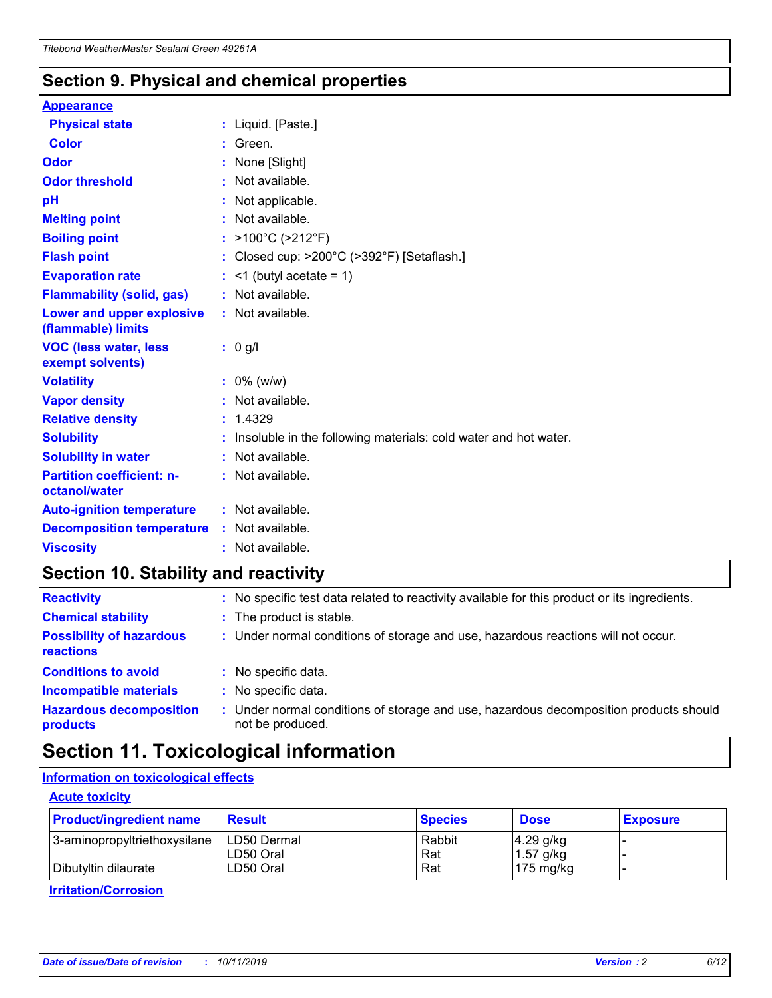### **Section 9. Physical and chemical properties**

#### **Appearance**

| <b>Physical state</b>                             | : Liquid. [Paste.]                                              |
|---------------------------------------------------|-----------------------------------------------------------------|
| Color                                             | Green.                                                          |
| Odor                                              | : None [Slight]                                                 |
| <b>Odor threshold</b>                             | : Not available.                                                |
| рH                                                | : Not applicable.                                               |
| <b>Melting point</b>                              | : Not available.                                                |
| <b>Boiling point</b>                              | : >100°C (>212°F)                                               |
| <b>Flash point</b>                                | : Closed cup: $>200^{\circ}$ C ( $>392^{\circ}$ F) [Setaflash.] |
| <b>Evaporation rate</b>                           | $:$ <1 (butyl acetate = 1)                                      |
| <b>Flammability (solid, gas)</b>                  | : Not available.                                                |
| Lower and upper explosive<br>(flammable) limits   | : Not available.                                                |
| <b>VOC (less water, less</b><br>exempt solvents)  | : 0 g/l                                                         |
| <b>Volatility</b>                                 | $: 0\%$ (w/w)                                                   |
| <b>Vapor density</b>                              | : Not available.                                                |
| <b>Relative density</b>                           | : 1.4329                                                        |
| <b>Solubility</b>                                 | Insoluble in the following materials: cold water and hot water. |
| <b>Solubility in water</b>                        | : Not available.                                                |
| <b>Partition coefficient: n-</b><br>octanol/water | $:$ Not available.                                              |
| <b>Auto-ignition temperature</b>                  | : Not available.                                                |
| <b>Decomposition temperature</b>                  | : Not available.                                                |
|                                                   |                                                                 |

### **Section 10. Stability and reactivity**

| <b>Reactivity</b>                            |    | : No specific test data related to reactivity available for this product or its ingredients.            |
|----------------------------------------------|----|---------------------------------------------------------------------------------------------------------|
| <b>Chemical stability</b>                    |    | : The product is stable.                                                                                |
| <b>Possibility of hazardous</b><br>reactions |    | : Under normal conditions of storage and use, hazardous reactions will not occur.                       |
| <b>Conditions to avoid</b>                   |    | : No specific data.                                                                                     |
| <b>Incompatible materials</b>                | ٠. | No specific data.                                                                                       |
| <b>Hazardous decomposition</b><br>products   | ÷. | Under normal conditions of storage and use, hazardous decomposition products should<br>not be produced. |

### **Section 11. Toxicological information**

### **Information on toxicological effects**

#### **Acute toxicity**

| <b>Product/ingredient name</b> | <b>Result</b>           | <b>Species</b> | <b>Dose</b>                | <b>Exposure</b> |
|--------------------------------|-------------------------|----------------|----------------------------|-----------------|
| 3-aminopropyltriethoxysilane   | <b>ILD50 Dermal</b>     | Rabbit         | 4.29 g/kg                  |                 |
| Dibutyltin dilaurate           | ILD50 Oral<br>LD50 Oral | Rat<br>Rat     | $1.57$ g/kg<br>175 $mg/kg$ |                 |
|                                |                         |                |                            |                 |

**Irritation/Corrosion**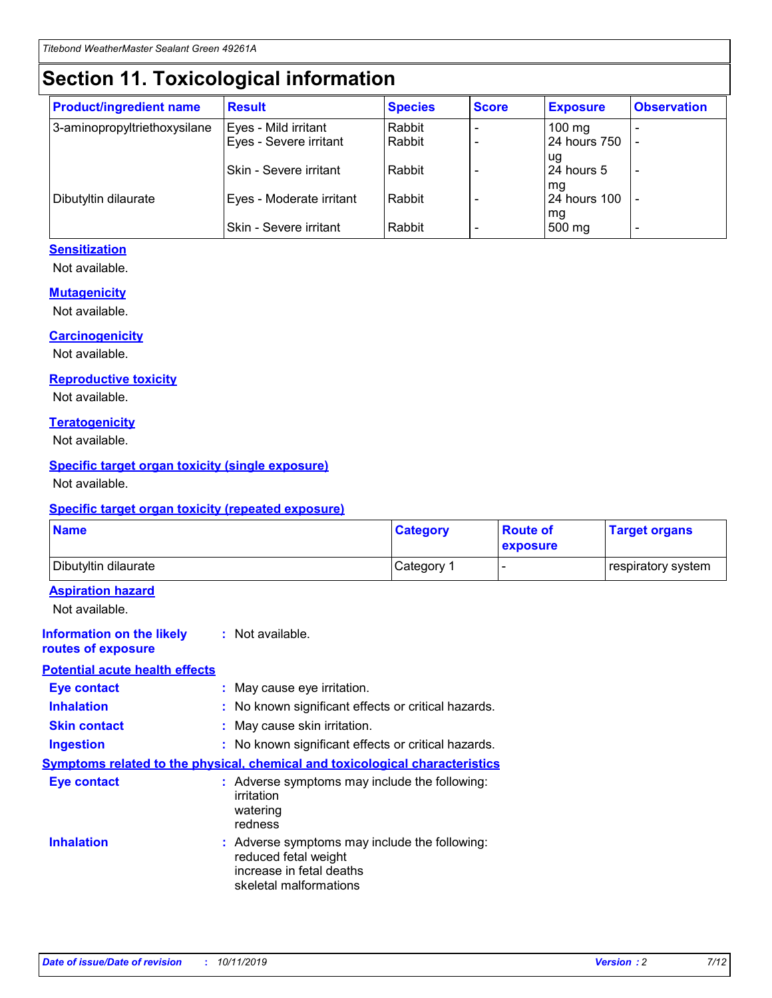## **Section 11. Toxicological information**

| <b>Product/ingredient name</b> | <b>Result</b>            | <b>Species</b> | <b>Score</b> | <b>Exposure</b>           | <b>Observation</b> |
|--------------------------------|--------------------------|----------------|--------------|---------------------------|--------------------|
| 3-aminopropyltriethoxysilane   | Eyes - Mild irritant     | Rabbit         |              | $100$ mg                  |                    |
|                                | Eyes - Severe irritant   | Rabbit         |              | 24 hours 750              |                    |
|                                |                          |                |              | ug                        |                    |
|                                | Skin - Severe irritant   | Rabbit         |              | 24 hours 5                | -                  |
| Dibutyltin dilaurate           | Eyes - Moderate irritant | Rabbit         |              | mq<br><b>24 hours 100</b> |                    |
|                                |                          |                |              | mg                        |                    |
|                                | Skin - Severe irritant   | Rabbit         |              | 500 mg                    |                    |

#### **Sensitization**

Not available.

#### **Mutagenicity**

Not available.

#### **Carcinogenicity**

Not available.

#### **Reproductive toxicity**

Not available.

#### **Teratogenicity**

Not available.

#### **Specific target organ toxicity (single exposure)**

Not available.

#### **Specific target organ toxicity (repeated exposure)**

| <b>Name</b>                                                                  |                                                                            | <b>Category</b>                                     | <b>Route of</b><br>exposure | <b>Target organs</b> |
|------------------------------------------------------------------------------|----------------------------------------------------------------------------|-----------------------------------------------------|-----------------------------|----------------------|
| Dibutyltin dilaurate                                                         |                                                                            | Category 1                                          | -                           | respiratory system   |
| <b>Aspiration hazard</b><br>Not available.                                   |                                                                            |                                                     |                             |                      |
| <b>Information on the likely</b><br>routes of exposure                       | : Not available.                                                           |                                                     |                             |                      |
| <b>Potential acute health effects</b>                                        |                                                                            |                                                     |                             |                      |
| <b>Eye contact</b>                                                           | : May cause eye irritation.                                                |                                                     |                             |                      |
| <b>Inhalation</b>                                                            |                                                                            | : No known significant effects or critical hazards. |                             |                      |
| <b>Skin contact</b>                                                          | : May cause skin irritation.                                               |                                                     |                             |                      |
| <b>Ingestion</b>                                                             |                                                                            | : No known significant effects or critical hazards. |                             |                      |
| Symptoms related to the physical, chemical and toxicological characteristics |                                                                            |                                                     |                             |                      |
| <b>Eye contact</b>                                                           | irritation<br>watering<br>redness                                          | : Adverse symptoms may include the following:       |                             |                      |
| <b>Inhalation</b>                                                            | reduced fetal weight<br>increase in fetal deaths<br>skeletal malformations | : Adverse symptoms may include the following:       |                             |                      |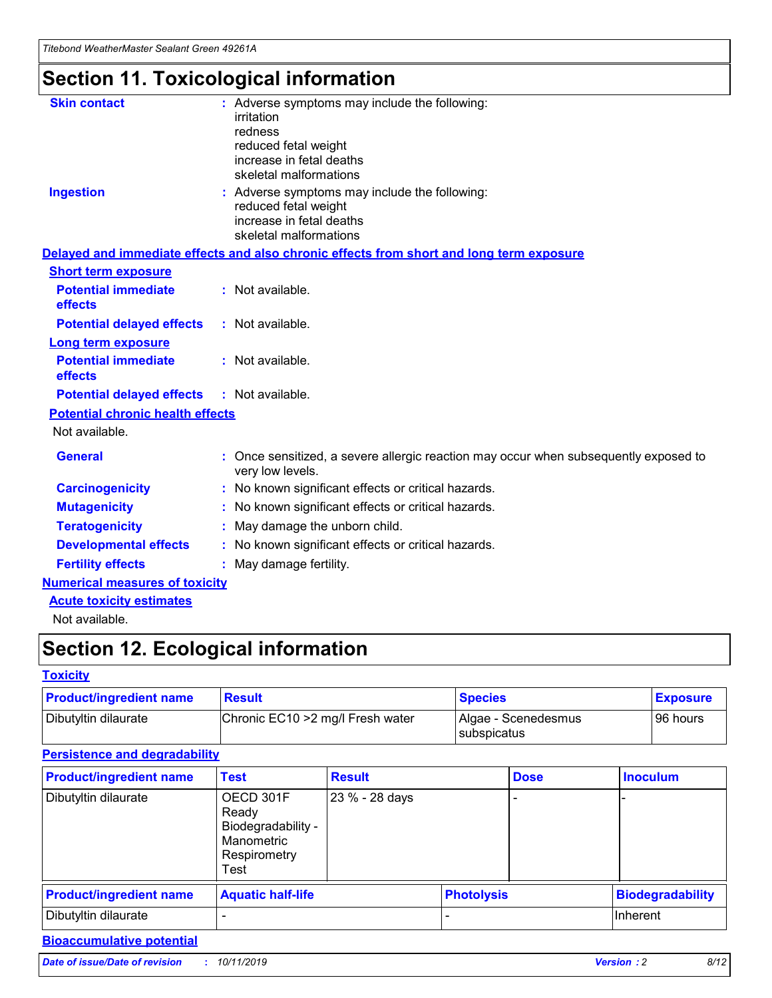## **Section 11. Toxicological information**

| <b>Skin contact</b>                     | : Adverse symptoms may include the following:<br>irritation<br>redness<br>reduced fetal weight<br>increase in fetal deaths<br>skeletal malformations |
|-----------------------------------------|------------------------------------------------------------------------------------------------------------------------------------------------------|
| <b>Ingestion</b>                        | : Adverse symptoms may include the following:<br>reduced fetal weight<br>increase in fetal deaths<br>skeletal malformations                          |
|                                         | Delayed and immediate effects and also chronic effects from short and long term exposure                                                             |
| <b>Short term exposure</b>              |                                                                                                                                                      |
| <b>Potential immediate</b><br>effects   | : Not available.                                                                                                                                     |
| <b>Potential delayed effects</b>        | : Not available.                                                                                                                                     |
| <b>Long term exposure</b>               |                                                                                                                                                      |
| <b>Potential immediate</b><br>effects   | : Not available.                                                                                                                                     |
| <b>Potential delayed effects</b>        | : Not available.                                                                                                                                     |
| <b>Potential chronic health effects</b> |                                                                                                                                                      |
| Not available.                          |                                                                                                                                                      |
| <b>General</b>                          | : Once sensitized, a severe allergic reaction may occur when subsequently exposed to<br>very low levels.                                             |
| <b>Carcinogenicity</b>                  | : No known significant effects or critical hazards.                                                                                                  |
| <b>Mutagenicity</b>                     | No known significant effects or critical hazards.                                                                                                    |
| <b>Teratogenicity</b>                   | May damage the unborn child.                                                                                                                         |
| <b>Developmental effects</b>            | No known significant effects or critical hazards.                                                                                                    |
| <b>Fertility effects</b>                | : May damage fertility.                                                                                                                              |
| <b>Numerical measures of toxicity</b>   |                                                                                                                                                      |
| <b>Acute toxicity estimates</b>         |                                                                                                                                                      |
|                                         |                                                                                                                                                      |

Not available.

## **Section 12. Ecological information**

#### **Toxicity**

| <b>Product/ingredient name</b> | <b>Result</b>                     | <b>Species</b>                       | <b>Exposure</b> |
|--------------------------------|-----------------------------------|--------------------------------------|-----------------|
| Dibutyltin dilaurate           | Chronic EC10 > 2 mg/l Fresh water | Algae - Scenedesmus<br>I subspicatus | l 96 hours i    |

### **Persistence and degradability**

| <b>Product/ingredient name</b> | <b>Test</b>                                                                    | <b>Result</b>  |                   | <b>Dose</b> | <b>Inoculum</b>         |
|--------------------------------|--------------------------------------------------------------------------------|----------------|-------------------|-------------|-------------------------|
| Dibutyltin dilaurate           | OECD 301F<br>Ready<br>Biodegradability -<br>Manometric<br>Respirometry<br>Test | 23 % - 28 days |                   |             |                         |
| <b>Product/ingredient name</b> | <b>Aquatic half-life</b>                                                       |                | <b>Photolysis</b> |             | <b>Biodegradability</b> |
| Dibutyltin dilaurate           |                                                                                |                |                   |             | Inherent                |

### **Bioaccumulative potential**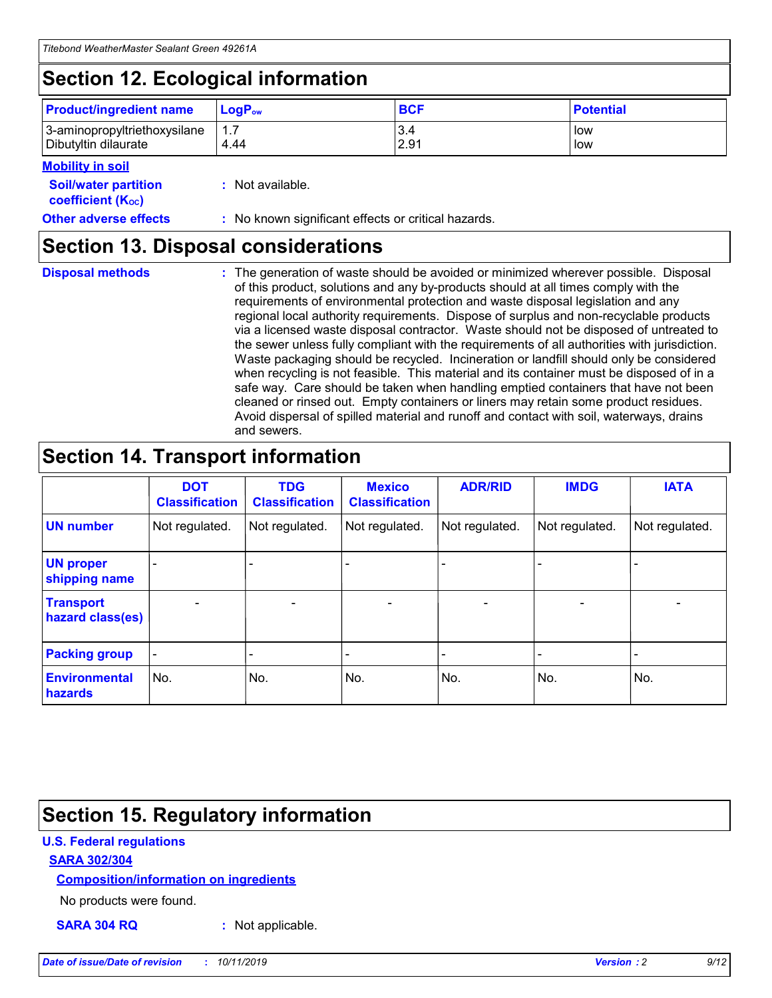## **Section 12. Ecological information**

| <b>Product/ingredient name</b> | $LoaPow$ | <b>BCF</b> | <b>Potential</b> |
|--------------------------------|----------|------------|------------------|
| 3-aminopropyltriethoxysilane   | 1.7      | 3.4        | low              |
| Dibutyltin dilaurate           | 4.44     | 2.91       | low              |

#### **Mobility in soil**

| <b>Soil/water partition</b><br>coefficient (K <sub>oc</sub> ) | : Not available.                                    |
|---------------------------------------------------------------|-----------------------------------------------------|
| <b>Other adverse effects</b>                                  | : No known significant effects or critical hazards. |

### **Section 13. Disposal considerations**

**Disposal methods :**

The generation of waste should be avoided or minimized wherever possible. Disposal of this product, solutions and any by-products should at all times comply with the requirements of environmental protection and waste disposal legislation and any regional local authority requirements. Dispose of surplus and non-recyclable products via a licensed waste disposal contractor. Waste should not be disposed of untreated to the sewer unless fully compliant with the requirements of all authorities with jurisdiction. Waste packaging should be recycled. Incineration or landfill should only be considered when recycling is not feasible. This material and its container must be disposed of in a safe way. Care should be taken when handling emptied containers that have not been cleaned or rinsed out. Empty containers or liners may retain some product residues. Avoid dispersal of spilled material and runoff and contact with soil, waterways, drains and sewers.

## **Section 14. Transport information**

|                                      | <b>DOT</b><br><b>Classification</b> | <b>TDG</b><br><b>Classification</b> | <b>Mexico</b><br><b>Classification</b> | <b>ADR/RID</b> | <b>IMDG</b>              | <b>IATA</b>              |
|--------------------------------------|-------------------------------------|-------------------------------------|----------------------------------------|----------------|--------------------------|--------------------------|
| <b>UN number</b>                     | Not regulated.                      | Not regulated.                      | Not regulated.                         | Not regulated. | Not regulated.           | Not regulated.           |
| <b>UN proper</b><br>shipping name    | $\blacksquare$                      |                                     |                                        |                |                          |                          |
| <b>Transport</b><br>hazard class(es) | $\blacksquare$                      | $\overline{\phantom{a}}$            | $\blacksquare$                         | $\blacksquare$ | $\overline{\phantom{a}}$ | $\overline{\phantom{0}}$ |
| <b>Packing group</b>                 | $\overline{\phantom{a}}$            | $\overline{\phantom{0}}$            | $\overline{\phantom{a}}$               | -              | $\overline{\phantom{0}}$ | $\overline{\phantom{a}}$ |
| <b>Environmental</b><br>hazards      | No.                                 | No.                                 | No.                                    | No.            | No.                      | No.                      |

## **Section 15. Regulatory information**

#### **U.S. Federal regulations**

#### **SARA 302/304**

#### **Composition/information on ingredients**

No products were found.

**SARA 304 RQ :** Not applicable.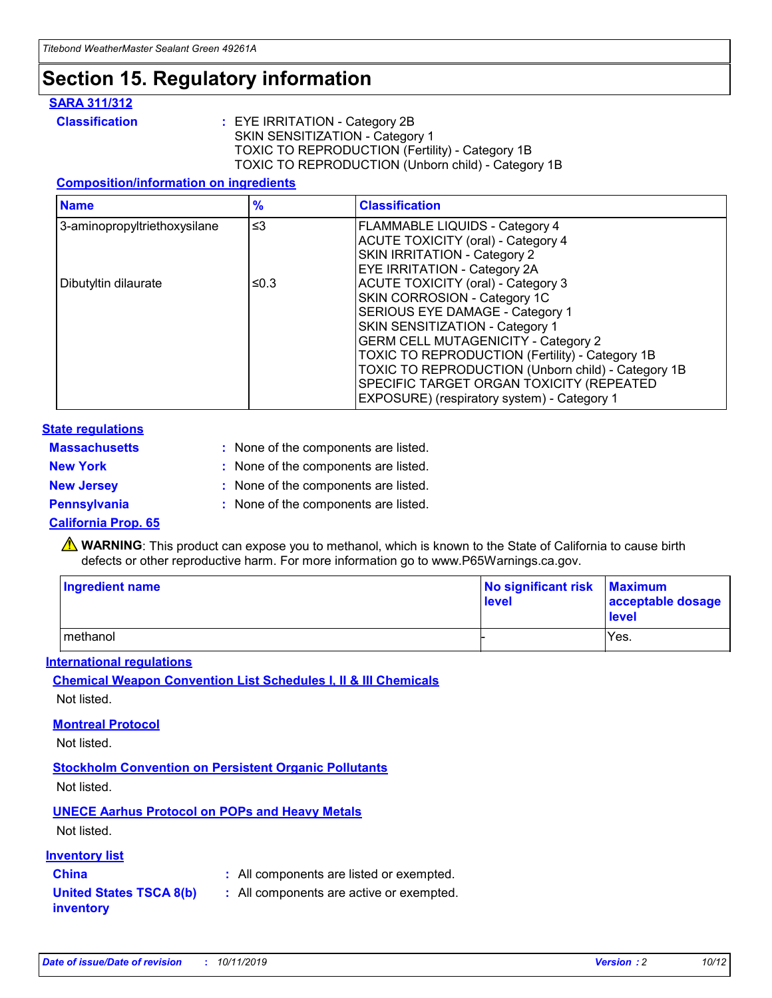### **Section 15. Regulatory information**

#### **SARA 311/312**

**Classification :** EYE IRRITATION - Category 2B SKIN SENSITIZATION - Category 1 TOXIC TO REPRODUCTION (Fertility) - Category 1B TOXIC TO REPRODUCTION (Unborn child) - Category 1B

#### **Composition/information on ingredients**

| <b>Name</b>                  | $\frac{9}{6}$ | <b>Classification</b>                                                                                                                                                                                                                                                                                                                  |  |
|------------------------------|---------------|----------------------------------------------------------------------------------------------------------------------------------------------------------------------------------------------------------------------------------------------------------------------------------------------------------------------------------------|--|
| 3-aminopropyltriethoxysilane | $\leq$ 3      | <b>FLAMMABLE LIQUIDS - Category 4</b><br><b>ACUTE TOXICITY (oral) - Category 4</b><br>SKIN IRRITATION - Category 2                                                                                                                                                                                                                     |  |
| Dibutyltin dilaurate         | ≤0.3          | EYE IRRITATION - Category 2A<br><b>ACUTE TOXICITY (oral) - Category 3</b><br>SKIN CORROSION - Category 1C<br>SERIOUS EYE DAMAGE - Category 1<br>SKIN SENSITIZATION - Category 1<br><b>GERM CELL MUTAGENICITY - Category 2</b><br>TOXIC TO REPRODUCTION (Fertility) - Category 1B<br>TOXIC TO REPRODUCTION (Unborn child) - Category 1B |  |
|                              |               | SPECIFIC TARGET ORGAN TOXICITY (REPEATED<br>EXPOSURE) (respiratory system) - Category 1                                                                                                                                                                                                                                                |  |

#### **State regulations**

| <b>Massachusetts</b> | : None of the components are listed. |
|----------------------|--------------------------------------|
| <b>New York</b>      | : None of the components are listed. |
| <b>New Jersey</b>    | : None of the components are listed. |
| <b>Pennsylvania</b>  | : None of the components are listed. |

#### **California Prop. 65**

**A** WARNING: This product can expose you to methanol, which is known to the State of California to cause birth defects or other reproductive harm. For more information go to www.P65Warnings.ca.gov.

| <b>Ingredient name</b> | No significant risk Maximum<br>level | acceptable dosage<br>level |
|------------------------|--------------------------------------|----------------------------|
| methanol               |                                      | Yes.                       |

#### **International regulations**

**Chemical Weapon Convention List Schedules I, II & III Chemicals** Not listed.

#### **Montreal Protocol**

Not listed.

**Stockholm Convention on Persistent Organic Pollutants**

Not listed.

### **UNECE Aarhus Protocol on POPs and Heavy Metals**

Not listed.

#### **Inventory list**

### **China :** All components are listed or exempted.

**United States TSCA 8(b) inventory :** All components are active or exempted.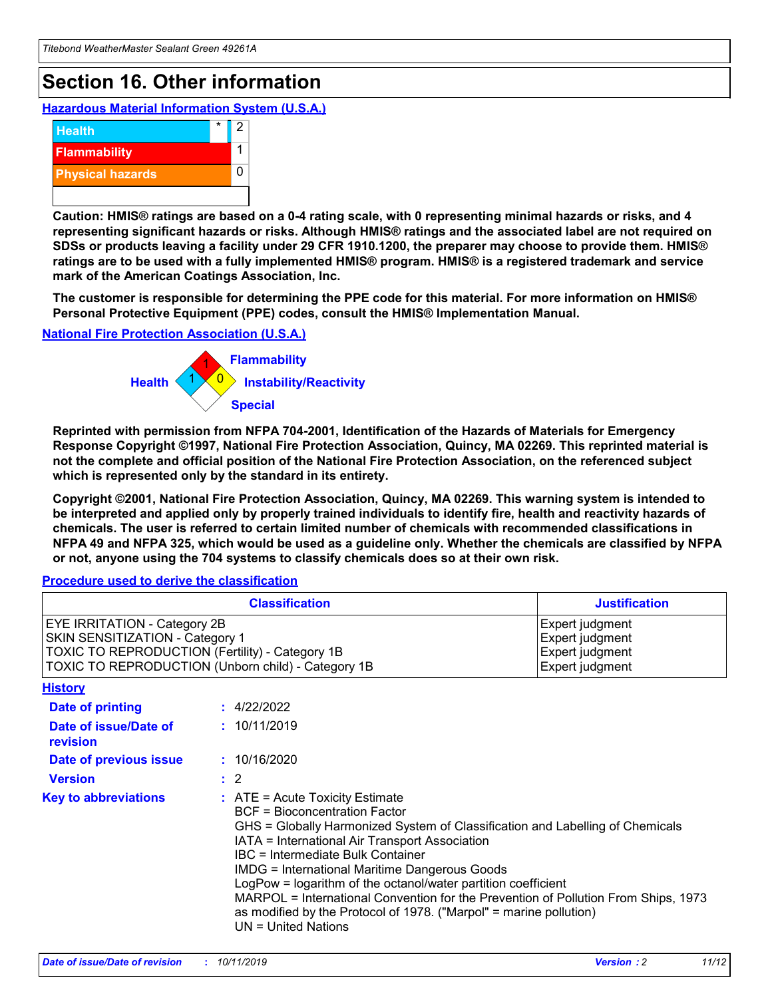## **Section 16. Other information**

**Hazardous Material Information System (U.S.A.)**



**Caution: HMIS® ratings are based on a 0-4 rating scale, with 0 representing minimal hazards or risks, and 4 representing significant hazards or risks. Although HMIS® ratings and the associated label are not required on SDSs or products leaving a facility under 29 CFR 1910.1200, the preparer may choose to provide them. HMIS® ratings are to be used with a fully implemented HMIS® program. HMIS® is a registered trademark and service mark of the American Coatings Association, Inc.**

**The customer is responsible for determining the PPE code for this material. For more information on HMIS® Personal Protective Equipment (PPE) codes, consult the HMIS® Implementation Manual.**

#### **National Fire Protection Association (U.S.A.)**



**Reprinted with permission from NFPA 704-2001, Identification of the Hazards of Materials for Emergency Response Copyright ©1997, National Fire Protection Association, Quincy, MA 02269. This reprinted material is not the complete and official position of the National Fire Protection Association, on the referenced subject which is represented only by the standard in its entirety.**

**Copyright ©2001, National Fire Protection Association, Quincy, MA 02269. This warning system is intended to be interpreted and applied only by properly trained individuals to identify fire, health and reactivity hazards of chemicals. The user is referred to certain limited number of chemicals with recommended classifications in NFPA 49 and NFPA 325, which would be used as a guideline only. Whether the chemicals are classified by NFPA or not, anyone using the 704 systems to classify chemicals does so at their own risk.**

#### **Procedure used to derive the classification**

| <b>Classification</b>                                                                                                                                                                  |                                                                                                                                                                                                                                                                   | <b>Justification</b>                                                                                                                                                                                                                                                                                       |  |
|----------------------------------------------------------------------------------------------------------------------------------------------------------------------------------------|-------------------------------------------------------------------------------------------------------------------------------------------------------------------------------------------------------------------------------------------------------------------|------------------------------------------------------------------------------------------------------------------------------------------------------------------------------------------------------------------------------------------------------------------------------------------------------------|--|
| <b>EYE IRRITATION - Category 2B</b><br>SKIN SENSITIZATION - Category 1<br><b>TOXIC TO REPRODUCTION (Fertility) - Category 1B</b><br>TOXIC TO REPRODUCTION (Unborn child) - Category 1B |                                                                                                                                                                                                                                                                   | Expert judgment<br>Expert judgment<br>Expert judgment<br>Expert judgment                                                                                                                                                                                                                                   |  |
| <b>History</b>                                                                                                                                                                         |                                                                                                                                                                                                                                                                   |                                                                                                                                                                                                                                                                                                            |  |
| Date of printing                                                                                                                                                                       | : 4/22/2022                                                                                                                                                                                                                                                       |                                                                                                                                                                                                                                                                                                            |  |
| Date of issue/Date of<br>revision                                                                                                                                                      | : 10/11/2019                                                                                                                                                                                                                                                      |                                                                                                                                                                                                                                                                                                            |  |
| Date of previous issue                                                                                                                                                                 | : 10/16/2020                                                                                                                                                                                                                                                      |                                                                                                                                                                                                                                                                                                            |  |
| <b>Version</b>                                                                                                                                                                         | $\therefore$ 2                                                                                                                                                                                                                                                    |                                                                                                                                                                                                                                                                                                            |  |
| <b>Key to abbreviations</b>                                                                                                                                                            | $\therefore$ ATE = Acute Toxicity Estimate<br><b>BCF</b> = Bioconcentration Factor<br>IATA = International Air Transport Association<br><b>IBC</b> = Intermediate Bulk Container<br><b>IMDG = International Maritime Dangerous Goods</b><br>$UN = United Nations$ | GHS = Globally Harmonized System of Classification and Labelling of Chemicals<br>LogPow = logarithm of the octanol/water partition coefficient<br>MARPOL = International Convention for the Prevention of Pollution From Ships, 1973<br>as modified by the Protocol of 1978. ("Marpol" = marine pollution) |  |